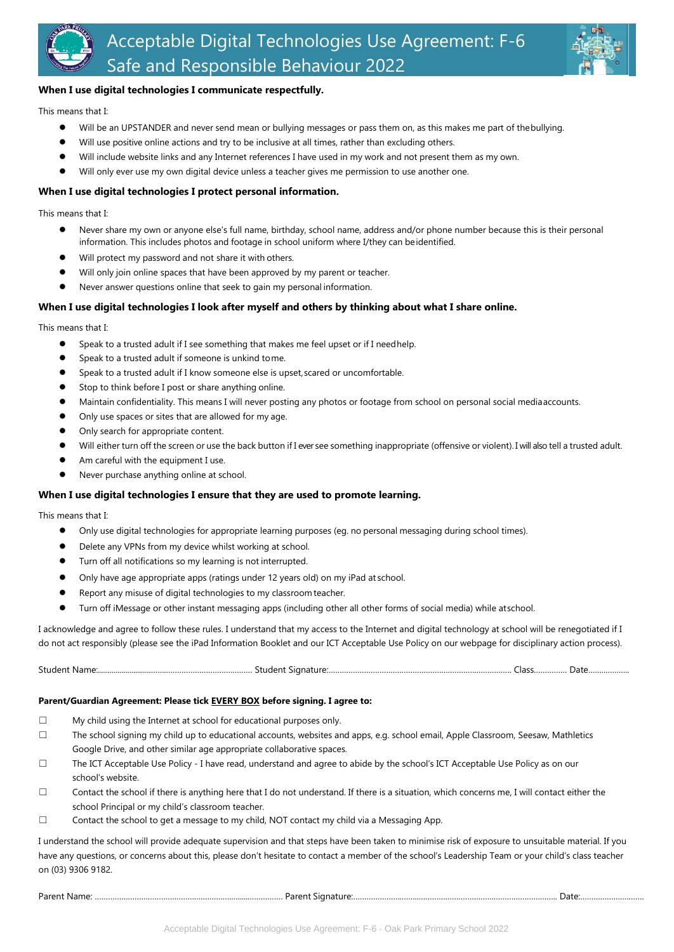



## **When I use digital technologies I communicate respectfully.**

This means that I:

- Will be an UPSTANDER and never send mean or bullying messages or pass them on, as this makes me part of thebullying.
- Will use positive online actions and try to be inclusive at all times, rather than excluding others.
- Will include website links and any Internet references I have used in my work and not present them as my own.
- Will only ever use my own digital device unless a teacher gives me permission to use another one.

#### **When I use digital technologies I protect personal information.**

This means that I:

- Never share my own or anyone else's full name, birthday, school name, address and/or phone number because this is their personal information. This includes photos and footage in school uniform where I/they can beidentified.
- Will protect my password and not share it with others.
- Will only join online spaces that have been approved by my parent or teacher.
- Never answer questions online that seek to gain my personal information.

### **When I use digital technologies I look after myself and others by thinking about what I share online.**

This means that I:

- Speak to a trusted adult if I see something that makes me feel upset or if I needhelp.
- Speak to a trusted adult if someone is unkind tome.
- Speak to a trusted adult if I know someone else is upset, scared or uncomfortable.
- Stop to think before I post or share anything online.
- Maintain confidentiality. This means I will never posting any photos or footage from school on personal social mediaaccounts.
- Only use spaces or sites that are allowed for my age.
- Only search for appropriate content.
- Will either turn off the screen or use the back button if I ever see something inappropriate (offensive or violent). I will also tell a trusted adult.
- Am careful with the equipment I use.
- Never purchase anything online at school.

#### **When I use digital technologies I ensure that they are used to promote learning.**

This means that I:

- Only use digital technologies for appropriate learning purposes (eg. no personal messaging during school times).
- Delete any VPNs from my device whilst working at school.
- Turn off all notifications so my learning is not interrupted.
- Only have age appropriate apps (ratings under 12 years old) on my iPad at school.
- Report any misuse of digital technologies to my classroom teacher.
- Turn off iMessage or other instant messaging apps (including other all other forms of social media) while atschool.

I acknowledge and agree to follow these rules. I understand that my access to the Internet and digital technology at school will be renegotiated if I do not act responsibly (please see the iPad Information Booklet and our ICT Acceptable Use Policy on our webpage for disciplinary action process).

Student Name:...........................…….………………………………… Student Signature:………………………………………………………….……………. Class…………… Date……..………..

#### **Parent/Guardian Agreement: Please tick EVERY BOX before signing. I agree to:**

- ☐ My child using the Internet at school for educational purposes only.
- ☐ The school signing my child up to educational accounts, websites and apps, e.g. school email, Apple Classroom, Seesaw, Mathletics Google Drive, and other similar age appropriate collaborative spaces.
- ☐ The ICT Acceptable Use Policy I have read, understand and agree to abide by the school's ICT Acceptable Use Policy as on our school's website.
- ☐ Contact the school if there is anything here that I do not understand. If there is a situation, which concerns me, I will contact either the school Principal or my child's classroom teacher.
- ☐ Contact the school to get a message to my child, NOT contact my child via a Messaging App.

I understand the school will provide adequate supervision and that steps have been taken to minimise risk of exposure to unsuitable material. If you have any questions, or concerns about this, please don't hesitate to contact a member of the school's Leadership Team or your child's class teacher on (03) 9306 9182.

Parent Name: ………………………………………….………….…......…………… Parent Signature:………………….……..…………………………….……………………….. Date:……………….……….